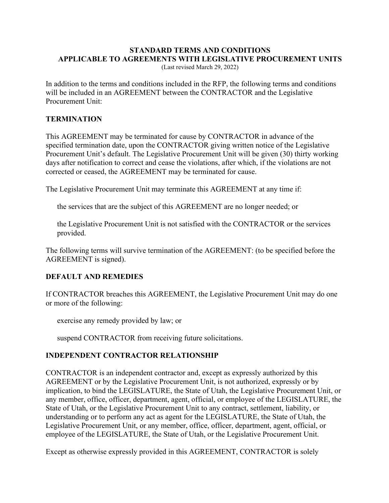### **STANDARD TERMS AND CONDITIONS APPLICABLE TO AGREEMENTS WITH LEGISLATIVE PROCUREMENT UNITS**

(Last revised March 29, 2022)

In addition to the terms and conditions included in the RFP, the following terms and conditions will be included in an AGREEMENT between the CONTRACTOR and the Legislative Procurement Unit:

#### **TERMINATION**

This AGREEMENT may be terminated for cause by CONTRACTOR in advance of the specified termination date, upon the CONTRACTOR giving written notice of the Legislative Procurement Unit's default. The Legislative Procurement Unit will be given (30) thirty working days after notification to correct and cease the violations, after which, if the violations are not corrected or ceased, the AGREEMENT may be terminated for cause.

The Legislative Procurement Unit may terminate this AGREEMENT at any time if:

the services that are the subject of this AGREEMENT are no longer needed; or

the Legislative Procurement Unit is not satisfied with the CONTRACTOR or the services provided.

The following terms will survive termination of the AGREEMENT: (to be specified before the AGREEMENT is signed).

#### **DEFAULT AND REMEDIES**

If CONTRACTOR breaches this AGREEMENT, the Legislative Procurement Unit may do one or more of the following:

exercise any remedy provided by law; or

suspend CONTRACTOR from receiving future solicitations.

#### **INDEPENDENT CONTRACTOR RELATIONSHIP**

CONTRACTOR is an independent contractor and, except as expressly authorized by this AGREEMENT or by the Legislative Procurement Unit, is not authorized, expressly or by implication, to bind the LEGISLATURE, the State of Utah, the Legislative Procurement Unit, or any member, office, officer, department, agent, official, or employee of the LEGISLATURE, the State of Utah, or the Legislative Procurement Unit to any contract, settlement, liability, or understanding or to perform any act as agent for the LEGISLATURE, the State of Utah, the Legislative Procurement Unit, or any member, office, officer, department, agent, official, or employee of the LEGISLATURE, the State of Utah, or the Legislative Procurement Unit.

Except as otherwise expressly provided in this AGREEMENT, CONTRACTOR is solely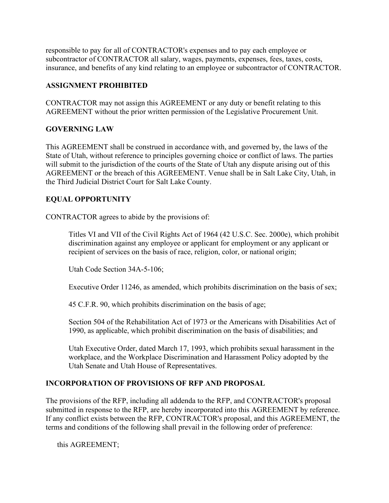responsible to pay for all of CONTRACTOR's expenses and to pay each employee or subcontractor of CONTRACTOR all salary, wages, payments, expenses, fees, taxes, costs, insurance, and benefits of any kind relating to an employee or subcontractor of CONTRACTOR.

# **ASSIGNMENT PROHIBITED**

CONTRACTOR may not assign this AGREEMENT or any duty or benefit relating to this AGREEMENT without the prior written permission of the Legislative Procurement Unit.

# **GOVERNING LAW**

This AGREEMENT shall be construed in accordance with, and governed by, the laws of the State of Utah, without reference to principles governing choice or conflict of laws. The parties will submit to the jurisdiction of the courts of the State of Utah any dispute arising out of this AGREEMENT or the breach of this AGREEMENT. Venue shall be in Salt Lake City, Utah, in the Third Judicial District Court for Salt Lake County.

# **EQUAL OPPORTUNITY**

CONTRACTOR agrees to abide by the provisions of:

Titles VI and VII of the Civil Rights Act of 1964 (42 U.S.C. Sec. 2000e), which prohibit discrimination against any employee or applicant for employment or any applicant or recipient of services on the basis of race, religion, color, or national origin;

Utah Code Section 34A-5-106;

Executive Order 11246, as amended, which prohibits discrimination on the basis of sex;

45 C.F.R. 90, which prohibits discrimination on the basis of age;

Section 504 of the Rehabilitation Act of 1973 or the Americans with Disabilities Act of 1990, as applicable, which prohibit discrimination on the basis of disabilities; and

Utah Executive Order, dated March 17, 1993, which prohibits sexual harassment in the workplace, and the Workplace Discrimination and Harassment Policy adopted by the Utah Senate and Utah House of Representatives.

### **INCORPORATION OF PROVISIONS OF RFP AND PROPOSAL**

The provisions of the RFP, including all addenda to the RFP, and CONTRACTOR's proposal submitted in response to the RFP, are hereby incorporated into this AGREEMENT by reference. If any conflict exists between the RFP, CONTRACTOR's proposal, and this AGREEMENT, the terms and conditions of the following shall prevail in the following order of preference:

this AGREEMENT;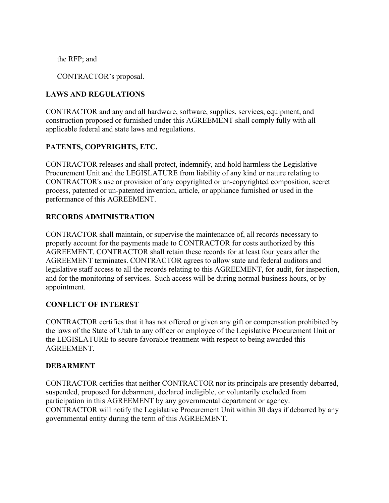the RFP; and

CONTRACTOR's proposal.

# **LAWS AND REGULATIONS**

CONTRACTOR and any and all hardware, software, supplies, services, equipment, and construction proposed or furnished under this AGREEMENT shall comply fully with all applicable federal and state laws and regulations.

# **PATENTS, COPYRIGHTS, ETC.**

CONTRACTOR releases and shall protect, indemnify, and hold harmless the Legislative Procurement Unit and the LEGISLATURE from liability of any kind or nature relating to CONTRACTOR's use or provision of any copyrighted or un-copyrighted composition, secret process, patented or un-patented invention, article, or appliance furnished or used in the performance of this AGREEMENT.

### **RECORDS ADMINISTRATION**

CONTRACTOR shall maintain, or supervise the maintenance of, all records necessary to properly account for the payments made to CONTRACTOR for costs authorized by this AGREEMENT. CONTRACTOR shall retain these records for at least four years after the AGREEMENT terminates. CONTRACTOR agrees to allow state and federal auditors and legislative staff access to all the records relating to this AGREEMENT, for audit, for inspection, and for the monitoring of services. Such access will be during normal business hours, or by appointment.

### **CONFLICT OF INTEREST**

CONTRACTOR certifies that it has not offered or given any gift or compensation prohibited by the laws of the State of Utah to any officer or employee of the Legislative Procurement Unit or the LEGISLATURE to secure favorable treatment with respect to being awarded this AGREEMENT.

#### **DEBARMENT**

CONTRACTOR certifies that neither CONTRACTOR nor its principals are presently debarred, suspended, proposed for debarment, declared ineligible, or voluntarily excluded from participation in this AGREEMENT by any governmental department or agency. CONTRACTOR will notify the Legislative Procurement Unit within 30 days if debarred by any governmental entity during the term of this AGREEMENT.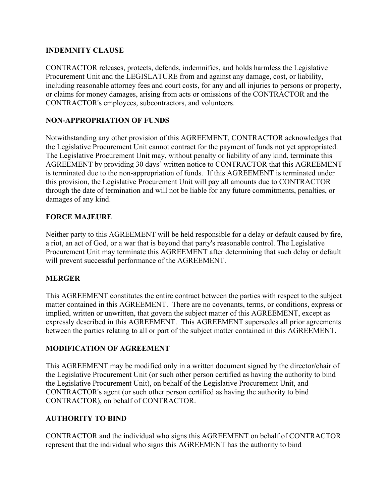# **INDEMNITY CLAUSE**

CONTRACTOR releases, protects, defends, indemnifies, and holds harmless the Legislative Procurement Unit and the LEGISLATURE from and against any damage, cost, or liability, including reasonable attorney fees and court costs, for any and all injuries to persons or property, or claims for money damages, arising from acts or omissions of the CONTRACTOR and the CONTRACTOR's employees, subcontractors, and volunteers.

## **NON-APPROPRIATION OF FUNDS**

Notwithstanding any other provision of this AGREEMENT, CONTRACTOR acknowledges that the Legislative Procurement Unit cannot contract for the payment of funds not yet appropriated. The Legislative Procurement Unit may, without penalty or liability of any kind, terminate this AGREEMENT by providing 30 days' written notice to CONTRACTOR that this AGREEMENT is terminated due to the non-appropriation of funds. If this AGREEMENT is terminated under this provision, the Legislative Procurement Unit will pay all amounts due to CONTRACTOR through the date of termination and will not be liable for any future commitments, penalties, or damages of any kind.

# **FORCE MAJEURE**

Neither party to this AGREEMENT will be held responsible for a delay or default caused by fire, a riot, an act of God, or a war that is beyond that party's reasonable control. The Legislative Procurement Unit may terminate this AGREEMENT after determining that such delay or default will prevent successful performance of the AGREEMENT.

### **MERGER**

This AGREEMENT constitutes the entire contract between the parties with respect to the subject matter contained in this AGREEMENT. There are no covenants, terms, or conditions, express or implied, written or unwritten, that govern the subject matter of this AGREEMENT, except as expressly described in this AGREEMENT. This AGREEMENT supersedes all prior agreements between the parties relating to all or part of the subject matter contained in this AGREEMENT.

### **MODIFICATION OF AGREEMENT**

This AGREEMENT may be modified only in a written document signed by the director/chair of the Legislative Procurement Unit (or such other person certified as having the authority to bind the Legislative Procurement Unit), on behalf of the Legislative Procurement Unit, and CONTRACTOR's agent (or such other person certified as having the authority to bind CONTRACTOR), on behalf of CONTRACTOR.

### **AUTHORITY TO BIND**

CONTRACTOR and the individual who signs this AGREEMENT on behalf of CONTRACTOR represent that the individual who signs this AGREEMENT has the authority to bind